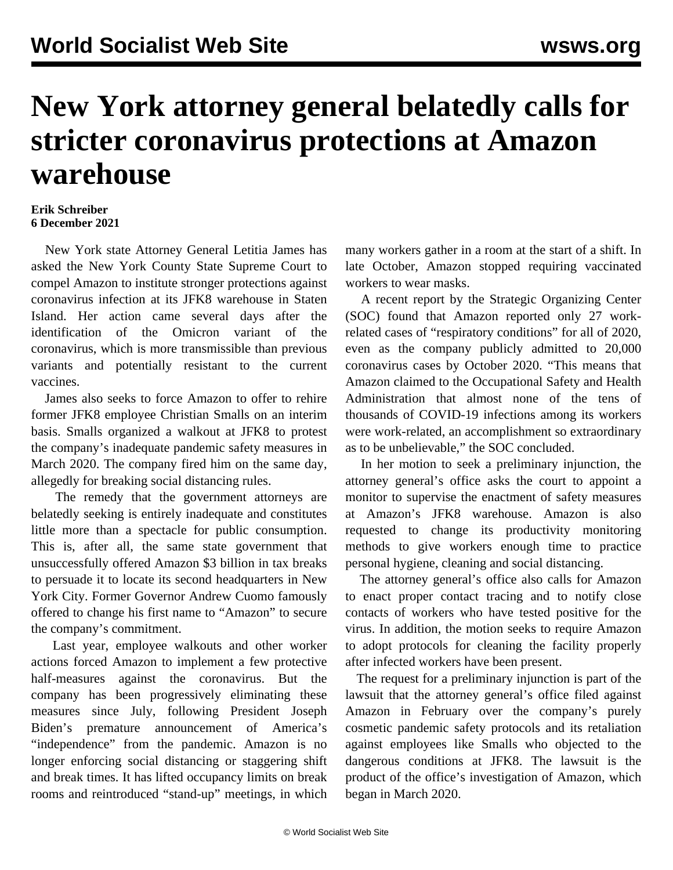## **New York attorney general belatedly calls for stricter coronavirus protections at Amazon warehouse**

## **Erik Schreiber 6 December 2021**

 New York state Attorney General Letitia James has asked the New York County State Supreme Court to compel Amazon to institute stronger protections against coronavirus infection at its JFK8 warehouse in Staten Island. Her action came several days after the identification of the Omicron variant of the coronavirus, which is more transmissible than previous variants and potentially resistant to the current vaccines.

 James also seeks to force Amazon to offer to rehire former JFK8 employee Christian Smalls on an interim basis. Smalls organized a walkout at JFK8 to protest the company's inadequate pandemic safety measures in March 2020. The company fired him on the same day, allegedly for breaking social distancing rules.

 The remedy that the government attorneys are belatedly seeking is entirely inadequate and constitutes little more than a spectacle for public consumption. This is, after all, the same state government that unsuccessfully offered Amazon \$3 billion in tax breaks to persuade it to locate its second headquarters in New York City. Former Governor Andrew Cuomo famously offered to change his first name to "Amazon" to secure the company's commitment.

 Last year, employee walkouts and other worker actions forced Amazon to implement a few protective half-measures against the coronavirus. But the company has been progressively eliminating these measures since July, following President Joseph Biden's premature announcement of America's "independence" from the pandemic. Amazon is no longer enforcing social distancing or staggering shift and break times. It has lifted occupancy limits on break rooms and reintroduced "stand-up" meetings, in which many workers gather in a room at the start of a shift. In late October, Amazon stopped requiring vaccinated workers to wear masks.

 A recent report by the Strategic Organizing Center (SOC) found that Amazon reported only 27 workrelated cases of "respiratory conditions" for all of 2020, even as the company publicly admitted to 20,000 coronavirus cases by October 2020. "This means that Amazon claimed to the Occupational Safety and Health Administration that almost none of the tens of thousands of COVID-19 infections among its workers were work-related, an accomplishment so extraordinary as to be unbelievable," the SOC concluded.

 In her motion to seek a preliminary injunction, the attorney general's office asks the court to appoint a monitor to supervise the enactment of safety measures at Amazon's JFK8 warehouse. Amazon is also requested to change its productivity monitoring methods to give workers enough time to practice personal hygiene, cleaning and social distancing.

 The attorney general's office also calls for Amazon to enact proper contact tracing and to notify close contacts of workers who have tested positive for the virus. In addition, the motion seeks to require Amazon to adopt protocols for cleaning the facility properly after infected workers have been present.

 The request for a preliminary injunction is part of the lawsuit that the attorney general's office filed against Amazon in February over the company's purely cosmetic pandemic safety protocols and its retaliation against employees like Smalls who objected to the dangerous conditions at JFK8. The lawsuit is the product of the office's investigation of Amazon, which began in March 2020.